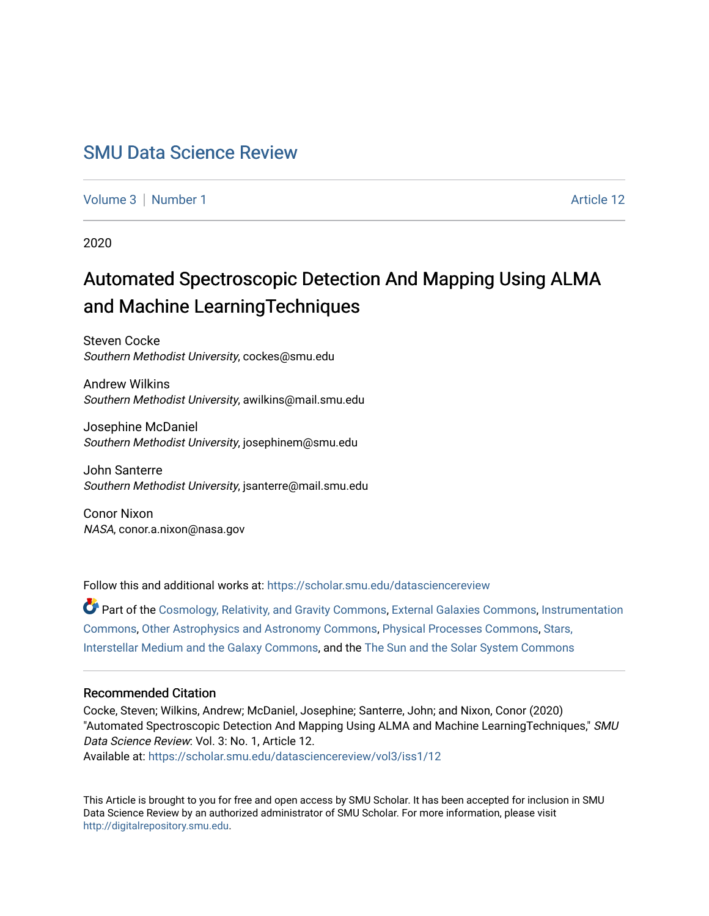## [SMU Data Science Review](https://scholar.smu.edu/datasciencereview)

[Volume 3](https://scholar.smu.edu/datasciencereview/vol3) | [Number 1](https://scholar.smu.edu/datasciencereview/vol3/iss1) Article 12

2020

# Automated Spectroscopic Detection And Mapping Using ALMA and Machine LearningTechniques

Steven Cocke Southern Methodist University, cockes@smu.edu

Andrew Wilkins Southern Methodist University, awilkins@mail.smu.edu

Josephine McDaniel Southern Methodist University, josephinem@smu.edu

John Santerre Southern Methodist University, jsanterre@mail.smu.edu

Conor Nixon NASA, conor.a.nixon@nasa.gov

Follow this and additional works at: [https://scholar.smu.edu/datasciencereview](https://scholar.smu.edu/datasciencereview?utm_source=scholar.smu.edu%2Fdatasciencereview%2Fvol3%2Fiss1%2F12&utm_medium=PDF&utm_campaign=PDFCoverPages)

Part of the [Cosmology, Relativity, and Gravity Commons,](http://network.bepress.com/hgg/discipline/129?utm_source=scholar.smu.edu%2Fdatasciencereview%2Fvol3%2Fiss1%2F12&utm_medium=PDF&utm_campaign=PDFCoverPages) [External Galaxies Commons](http://network.bepress.com/hgg/discipline/128?utm_source=scholar.smu.edu%2Fdatasciencereview%2Fvol3%2Fiss1%2F12&utm_medium=PDF&utm_campaign=PDFCoverPages), [Instrumentation](http://network.bepress.com/hgg/discipline/125?utm_source=scholar.smu.edu%2Fdatasciencereview%2Fvol3%2Fiss1%2F12&utm_medium=PDF&utm_campaign=PDFCoverPages)  [Commons](http://network.bepress.com/hgg/discipline/125?utm_source=scholar.smu.edu%2Fdatasciencereview%2Fvol3%2Fiss1%2F12&utm_medium=PDF&utm_campaign=PDFCoverPages), [Other Astrophysics and Astronomy Commons,](http://network.bepress.com/hgg/discipline/130?utm_source=scholar.smu.edu%2Fdatasciencereview%2Fvol3%2Fiss1%2F12&utm_medium=PDF&utm_campaign=PDFCoverPages) [Physical Processes Commons](http://network.bepress.com/hgg/discipline/124?utm_source=scholar.smu.edu%2Fdatasciencereview%2Fvol3%2Fiss1%2F12&utm_medium=PDF&utm_campaign=PDFCoverPages), [Stars,](http://network.bepress.com/hgg/discipline/127?utm_source=scholar.smu.edu%2Fdatasciencereview%2Fvol3%2Fiss1%2F12&utm_medium=PDF&utm_campaign=PDFCoverPages)  [Interstellar Medium and the Galaxy Commons,](http://network.bepress.com/hgg/discipline/127?utm_source=scholar.smu.edu%2Fdatasciencereview%2Fvol3%2Fiss1%2F12&utm_medium=PDF&utm_campaign=PDFCoverPages) and the [The Sun and the Solar System Commons](http://network.bepress.com/hgg/discipline/126?utm_source=scholar.smu.edu%2Fdatasciencereview%2Fvol3%2Fiss1%2F12&utm_medium=PDF&utm_campaign=PDFCoverPages)

## Recommended Citation

Cocke, Steven; Wilkins, Andrew; McDaniel, Josephine; Santerre, John; and Nixon, Conor (2020) "Automated Spectroscopic Detection And Mapping Using ALMA and Machine LearningTechniques," SMU Data Science Review: Vol. 3: No. 1, Article 12. Available at: [https://scholar.smu.edu/datasciencereview/vol3/iss1/12](https://scholar.smu.edu/datasciencereview/vol3/iss1/12?utm_source=scholar.smu.edu%2Fdatasciencereview%2Fvol3%2Fiss1%2F12&utm_medium=PDF&utm_campaign=PDFCoverPages)

This Article is brought to you for free and open access by SMU Scholar. It has been accepted for inclusion in SMU Data Science Review by an authorized administrator of SMU Scholar. For more information, please visit [http://digitalrepository.smu.edu.](http://digitalrepository.smu.edu/)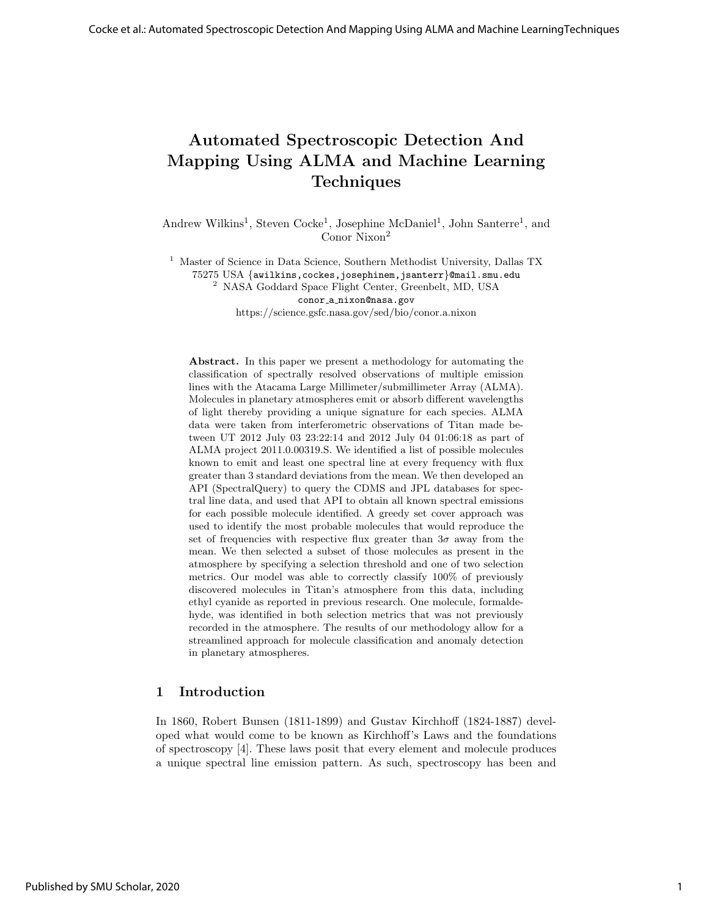## Automated Spectroscopic Detection And Mapping Using ALMA and Machine Learning Techniques

Andrew Wilkins<sup>1</sup>, Steven Cocke<sup>1</sup>, Josephine McDaniel<sup>1</sup>, John Santerre<sup>1</sup>, and Conor Nixon<sup>2</sup>

<sup>1</sup> Master of Science in Data Science, Southern Methodist University, Dallas TX 75275 USA {awilkins,cockes,josephinem,jsanterr}@mail.smu.edu <sup>2</sup> NASA Goddard Space Flight Center, Greenbelt, MD, USA

conor a nixon@nasa.gov https://science.gsfc.nasa.gov/sed/bio/conor.a.nixon

Abstract. In this paper we present a methodology for automating the classification of spectrally resolved observations of multiple emission lines with the Atacama Large Millimeter/submillimeter Array (ALMA). Molecules in planetary atmospheres emit or absorb different wavelengths of light thereby providing a unique signature for each species. ALMA data were taken from interferometric observations of Titan made between UT 2012 July 03 23:22:14 and 2012 July 04 01:06:18 as part of ALMA project 2011.0.00319.S. We identified a list of possible molecules known to emit and least one spectral line at every frequency with flux greater than 3 standard deviations from the mean. We then developed an API (SpectralQuery) to query the CDMS and JPL databases for spectral line data, and used that API to obtain all known spectral emissions for each possible molecule identified. A greedy set cover approach was used to identify the most probable molecules that would reproduce the set of frequencies with respective flux greater than  $3\sigma$  away from the mean. We then selected a subset of those molecules as present in the atmosphere by specifying a selection threshold and one of two selection metrics. Our model was able to correctly classify 100% of previously discovered molecules in Titan's atmosphere from this data, including ethyl cyanide as reported in previous research. One molecule, formaldehyde, was identified in both selection metrics that was not previously recorded in the atmosphere. The results of our methodology allow for a streamlined approach for molecule classification and anomaly detection in planetary atmospheres.

## 1 Introduction

In 1860, Robert Bunsen (1811-1899) and Gustav Kirchhoff (1824-1887) developed what would come to be known as Kirchhoff's Laws and the foundations of spectroscopy [4]. These laws posit that every element and molecule produces a unique spectral line emission pattern. As such, spectroscopy has been and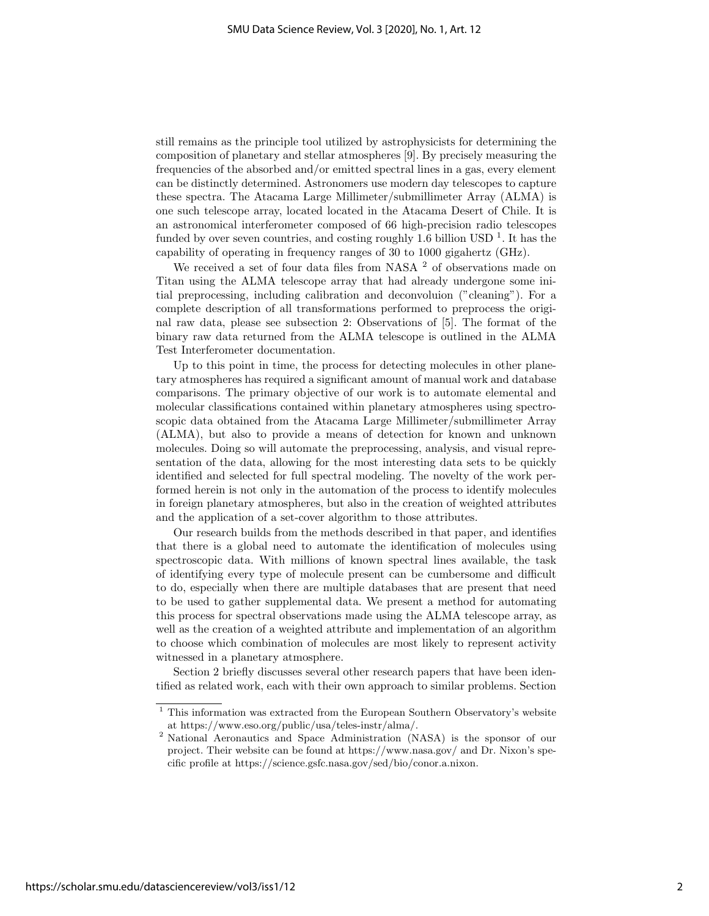still remains as the principle tool utilized by astrophysicists for determining the composition of planetary and stellar atmospheres [9]. By precisely measuring the frequencies of the absorbed and/or emitted spectral lines in a gas, every element can be distinctly determined. Astronomers use modern day telescopes to capture these spectra. The Atacama Large Millimeter/submillimeter Array (ALMA) is one such telescope array, located located in the Atacama Desert of Chile. It is an astronomical interferometer composed of 66 high-precision radio telescopes funded by over seven countries, and costing roughly 1.6 billion USD<sup> $1$ </sup>. It has the capability of operating in frequency ranges of 30 to 1000 gigahertz (GHz).

We received a set of four data files from NASA <sup>2</sup> of observations made on Titan using the ALMA telescope array that had already undergone some initial preprocessing, including calibration and deconvoluion ("cleaning"). For a complete description of all transformations performed to preprocess the original raw data, please see subsection 2: Observations of [5]. The format of the binary raw data returned from the ALMA telescope is outlined in the ALMA Test Interferometer documentation.

Up to this point in time, the process for detecting molecules in other planetary atmospheres has required a significant amount of manual work and database comparisons. The primary objective of our work is to automate elemental and molecular classifications contained within planetary atmospheres using spectroscopic data obtained from the Atacama Large Millimeter/submillimeter Array (ALMA), but also to provide a means of detection for known and unknown molecules. Doing so will automate the preprocessing, analysis, and visual representation of the data, allowing for the most interesting data sets to be quickly identified and selected for full spectral modeling. The novelty of the work performed herein is not only in the automation of the process to identify molecules in foreign planetary atmospheres, but also in the creation of weighted attributes and the application of a set-cover algorithm to those attributes.

Our research builds from the methods described in that paper, and identifies that there is a global need to automate the identification of molecules using spectroscopic data. With millions of known spectral lines available, the task of identifying every type of molecule present can be cumbersome and difficult to do, especially when there are multiple databases that are present that need to be used to gather supplemental data. We present a method for automating this process for spectral observations made using the ALMA telescope array, as well as the creation of a weighted attribute and implementation of an algorithm to choose which combination of molecules are most likely to represent activity witnessed in a planetary atmosphere.

Section 2 briefly discusses several other research papers that have been identified as related work, each with their own approach to similar problems. Section

 $1$  This information was extracted from the European Southern Observatory's website at https://www.eso.org/public/usa/teles-instr/alma/.

<sup>2</sup> National Aeronautics and Space Administration (NASA) is the sponsor of our project. Their website can be found at https://www.nasa.gov/ and Dr. Nixon's specific profile at https://science.gsfc.nasa.gov/sed/bio/conor.a.nixon.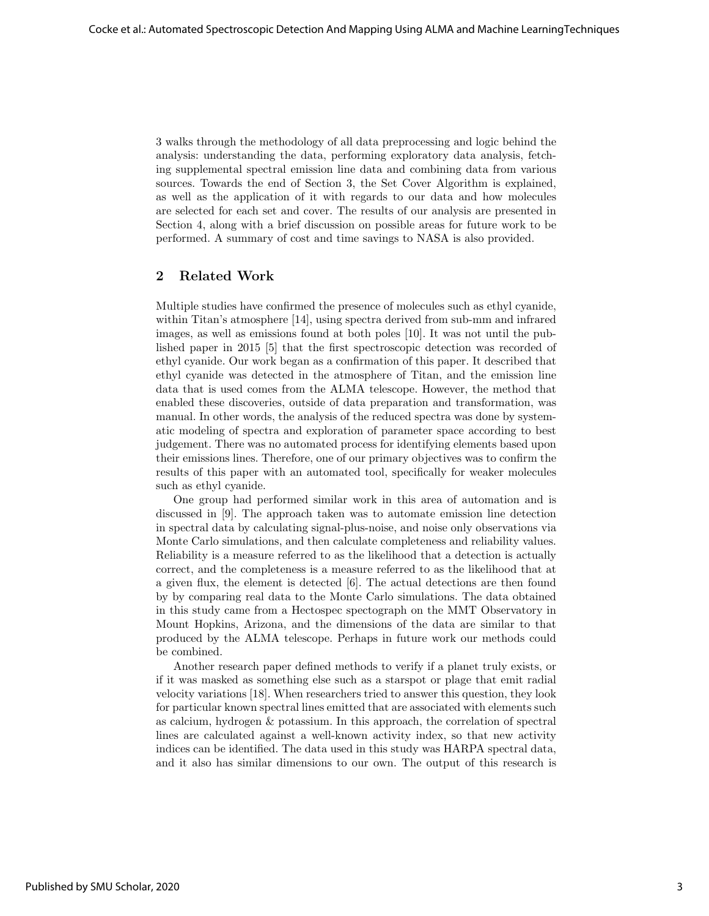3 walks through the methodology of all data preprocessing and logic behind the analysis: understanding the data, performing exploratory data analysis, fetching supplemental spectral emission line data and combining data from various sources. Towards the end of Section 3, the Set Cover Algorithm is explained, as well as the application of it with regards to our data and how molecules are selected for each set and cover. The results of our analysis are presented in Section 4, along with a brief discussion on possible areas for future work to be performed. A summary of cost and time savings to NASA is also provided.

## 2 Related Work

Multiple studies have confirmed the presence of molecules such as ethyl cyanide, within Titan's atmosphere [14], using spectra derived from sub-mm and infrared images, as well as emissions found at both poles [10]. It was not until the published paper in 2015 [5] that the first spectroscopic detection was recorded of ethyl cyanide. Our work began as a confirmation of this paper. It described that ethyl cyanide was detected in the atmosphere of Titan, and the emission line data that is used comes from the ALMA telescope. However, the method that enabled these discoveries, outside of data preparation and transformation, was manual. In other words, the analysis of the reduced spectra was done by systematic modeling of spectra and exploration of parameter space according to best judgement. There was no automated process for identifying elements based upon their emissions lines. Therefore, one of our primary objectives was to confirm the results of this paper with an automated tool, specifically for weaker molecules such as ethyl cyanide.

One group had performed similar work in this area of automation and is discussed in [9]. The approach taken was to automate emission line detection in spectral data by calculating signal-plus-noise, and noise only observations via Monte Carlo simulations, and then calculate completeness and reliability values. Reliability is a measure referred to as the likelihood that a detection is actually correct, and the completeness is a measure referred to as the likelihood that at a given flux, the element is detected [6]. The actual detections are then found by by comparing real data to the Monte Carlo simulations. The data obtained in this study came from a Hectospec spectograph on the MMT Observatory in Mount Hopkins, Arizona, and the dimensions of the data are similar to that produced by the ALMA telescope. Perhaps in future work our methods could be combined.

Another research paper defined methods to verify if a planet truly exists, or if it was masked as something else such as a starspot or plage that emit radial velocity variations [18]. When researchers tried to answer this question, they look for particular known spectral lines emitted that are associated with elements such as calcium, hydrogen & potassium. In this approach, the correlation of spectral lines are calculated against a well-known activity index, so that new activity indices can be identified. The data used in this study was HARPA spectral data, and it also has similar dimensions to our own. The output of this research is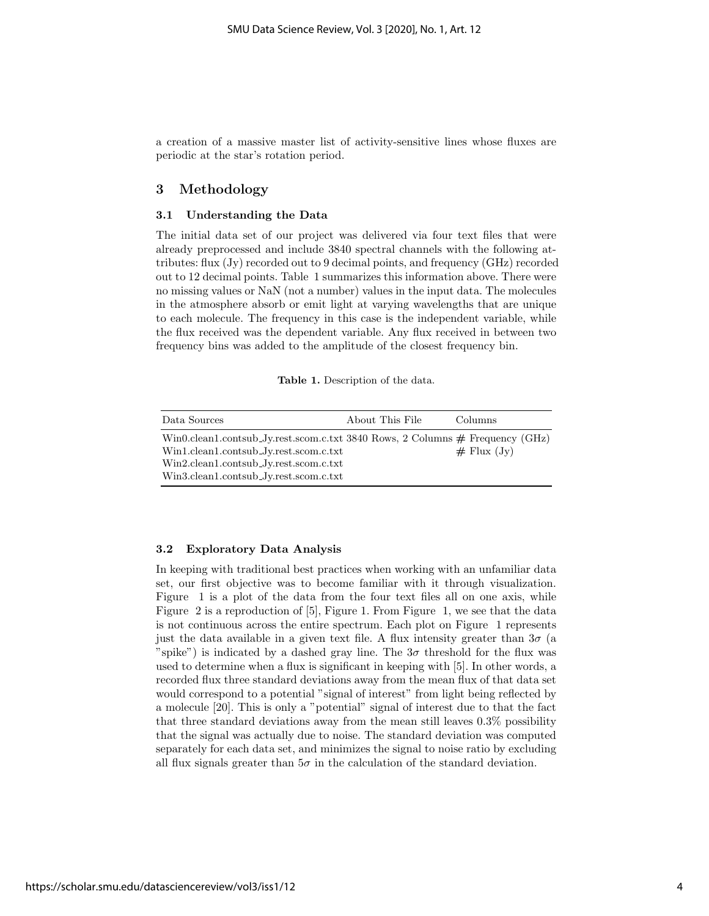a creation of a massive master list of activity-sensitive lines whose fluxes are periodic at the star's rotation period.

## 3 Methodology

#### 3.1 Understanding the Data

The initial data set of our project was delivered via four text files that were already preprocessed and include 3840 spectral channels with the following attributes: flux (Jy) recorded out to 9 decimal points, and frequency (GHz) recorded out to 12 decimal points. Table 1 summarizes this information above. There were no missing values or NaN (not a number) values in the input data. The molecules in the atmosphere absorb or emit light at varying wavelengths that are unique to each molecule. The frequency in this case is the independent variable, while the flux received was the dependent variable. Any flux received in between two frequency bins was added to the amplitude of the closest frequency bin.

Table 1. Description of the data.

| Data Sources                                                                    | About This File | Columns          |
|---------------------------------------------------------------------------------|-----------------|------------------|
| Win0.clean1.contsub_Jy.rest.scom.c.txt 3840 Rows, 2 Columns $#$ Frequency (GHz) |                 |                  |
| Win1.clean1.contsub_Jy.rest.scom.c.txt                                          |                 | $\#$ Flux $(Jv)$ |
| Win2.clean1.contsub_Jy.rest.scom.c.txt                                          |                 |                  |
| Win3.clean1.contsub_Jy.rest.scom.c.txt                                          |                 |                  |

#### 3.2 Exploratory Data Analysis

In keeping with traditional best practices when working with an unfamiliar data set, our first objective was to become familiar with it through visualization. Figure 1 is a plot of the data from the four text files all on one axis, while Figure 2 is a reproduction of [5], Figure 1. From Figure 1, we see that the data is not continuous across the entire spectrum. Each plot on Figure 1 represents just the data available in a given text file. A flux intensity greater than  $3\sigma$  (a "spike") is indicated by a dashed gray line. The  $3\sigma$  threshold for the flux was used to determine when a flux is significant in keeping with [5]. In other words, a recorded flux three standard deviations away from the mean flux of that data set would correspond to a potential "signal of interest" from light being reflected by a molecule [20]. This is only a "potential" signal of interest due to that the fact that three standard deviations away from the mean still leaves 0.3% possibility that the signal was actually due to noise. The standard deviation was computed separately for each data set, and minimizes the signal to noise ratio by excluding all flux signals greater than  $5\sigma$  in the calculation of the standard deviation.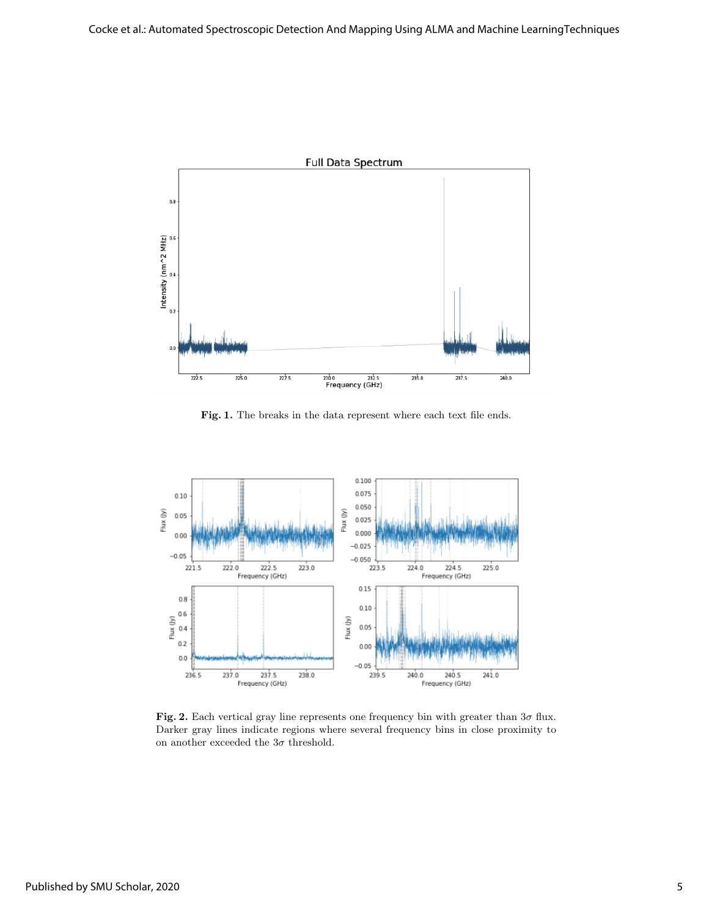

Fig. 1. The breaks in the data represent where each text file ends.



Fig. 2. Each vertical gray line represents one frequency bin with greater than  $3\sigma$  flux. Darker gray lines indicate regions where several frequency bins in close proximity to on another exceeded the  $3\sigma$  threshold.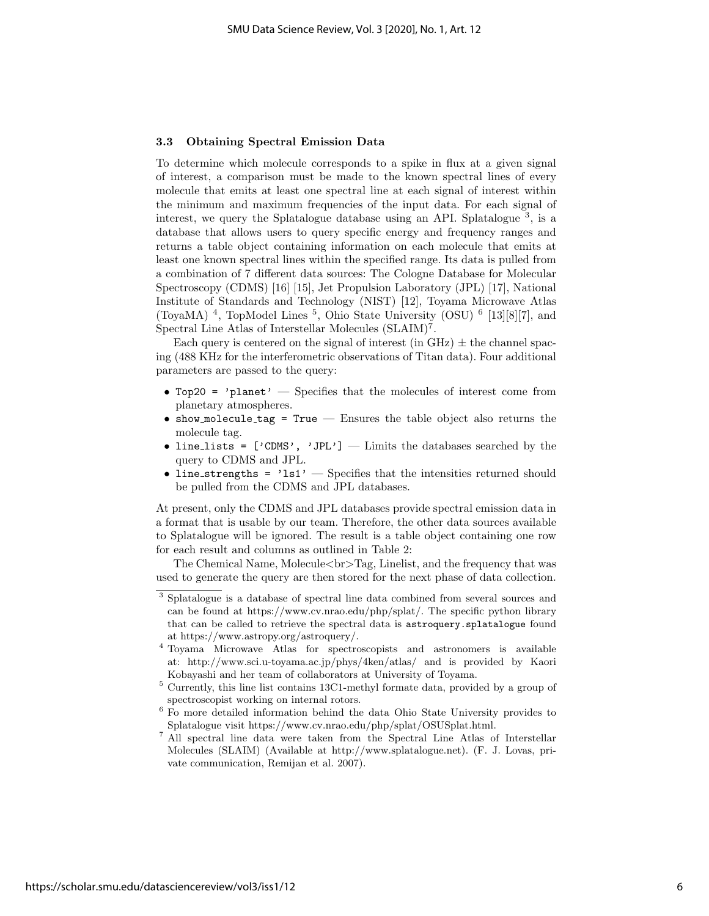#### 3.3 Obtaining Spectral Emission Data

To determine which molecule corresponds to a spike in flux at a given signal of interest, a comparison must be made to the known spectral lines of every molecule that emits at least one spectral line at each signal of interest within the minimum and maximum frequencies of the input data. For each signal of interest, we query the Splatalogue database using an API. Splatalogue <sup>3</sup> , is a database that allows users to query specific energy and frequency ranges and returns a table object containing information on each molecule that emits at least one known spectral lines within the specified range. Its data is pulled from a combination of 7 different data sources: The Cologne Database for Molecular Spectroscopy (CDMS) [16] [15], Jet Propulsion Laboratory (JPL) [17], National Institute of Standards and Technology (NIST) [12], Toyama Microwave Atlas (ToyaMA)<sup>4</sup>, TopModel Lines<sup>5</sup>, Ohio State University (OSU)<sup>6</sup> [13][8][7], and Spectral Line Atlas of Interstellar Molecules (SLAIM)<sup>7</sup>.

Each query is centered on the signal of interest (in GHz)  $\pm$  the channel spacing (488 KHz for the interferometric observations of Titan data). Four additional parameters are passed to the query:

- Top20 = 'planet' Specifies that the molecules of interest come from planetary atmospheres.
- show molecule tag =  $True$   $-$  Ensures the table object also returns the molecule tag.
- line\_lists =  $['CDMS', 'JPL']$  Limits the databases searched by the query to CDMS and JPL.
- line\_strengths =  $'ls1'$  Specifies that the intensities returned should be pulled from the CDMS and JPL databases.

At present, only the CDMS and JPL databases provide spectral emission data in a format that is usable by our team. Therefore, the other data sources available to Splatalogue will be ignored. The result is a table object containing one row for each result and columns as outlined in Table 2:

The Chemical Name, Molecule $\langle \text{br} \rangle$ Tag, Linelist, and the frequency that was used to generate the query are then stored for the next phase of data collection.

<sup>3</sup> Splatalogue is a database of spectral line data combined from several sources and can be found at https://www.cv.nrao.edu/php/splat/. The specific python library that can be called to retrieve the spectral data is astroquery.splatalogue found at https://www.astropy.org/astroquery/.

<sup>4</sup> Toyama Microwave Atlas for spectroscopists and astronomers is available at: http://www.sci.u-toyama.ac.jp/phys/4ken/atlas/ and is provided by Kaori Kobayashi and her team of collaborators at University of Toyama.

<sup>5</sup> Currently, this line list contains 13C1-methyl formate data, provided by a group of spectroscopist working on internal rotors.

<sup>6</sup> Fo more detailed information behind the data Ohio State University provides to Splatalogue visit https://www.cv.nrao.edu/php/splat/OSUSplat.html.

<sup>7</sup> All spectral line data were taken from the Spectral Line Atlas of Interstellar Molecules (SLAIM) (Available at http://www.splatalogue.net). (F. J. Lovas, private communication, Remijan et al. 2007).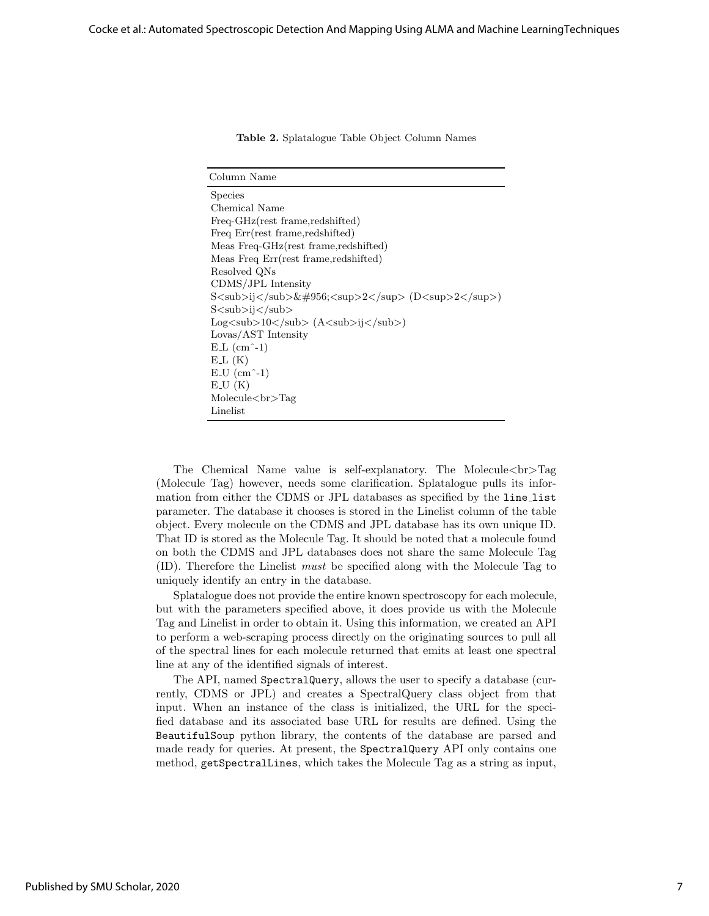|  | Table 2. Splatalogue Table Object Column Names |  |  |  |  |
|--|------------------------------------------------|--|--|--|--|
|--|------------------------------------------------|--|--|--|--|

| Column Name                                                                                                                                                                           |
|---------------------------------------------------------------------------------------------------------------------------------------------------------------------------------------|
| <b>Species</b>                                                                                                                                                                        |
| Chemical Name                                                                                                                                                                         |
| Freq-GHz(rest frame, redshifted)                                                                                                                                                      |
| Freq Err(rest frame, redshifted)                                                                                                                                                      |
| Meas Freq-GHz(rest frame, redshifted)                                                                                                                                                 |
| Meas Freq Err(rest frame, redshifted)                                                                                                                                                 |
| Resolved QNs                                                                                                                                                                          |
| CDMS/JPL Intensity                                                                                                                                                                    |
| $S\langle \text{sub}\rangle$ i $\langle \text{sub}\rangle$ μ $\langle \text{sup}\rangle$ 2 $\langle \text{sup}\rangle$ (D $\langle \text{sup}\rangle$ 2 $\langle \text{sup}\rangle$ ) |
| S <sub>sub&gt;ij</sub> <sub>is</sub>                                                                                                                                                  |
| $Log3105101$ (A $510111$ )                                                                                                                                                            |
| Lovas/AST Intensity                                                                                                                                                                   |
| $E_{\text{L}}$ (cm <sup><math>\text{-}1</math>)</sup>                                                                                                                                 |
| $E_{\rm L}(K)$                                                                                                                                                                        |
| $E$ -U $(cm2-1)$                                                                                                                                                                      |
| E.U(K)                                                                                                                                                                                |
| Molecule<br>Tr5Tag                                                                                                                                                                    |
| Linelist                                                                                                                                                                              |

The Chemical Name value is self-explanatory. The Molecule $\langle \text{br}\rangle$ Tag (Molecule Tag) however, needs some clarification. Splatalogue pulls its information from either the CDMS or JPL databases as specified by the line list parameter. The database it chooses is stored in the Linelist column of the table object. Every molecule on the CDMS and JPL database has its own unique ID. That ID is stored as the Molecule Tag. It should be noted that a molecule found on both the CDMS and JPL databases does not share the same Molecule Tag (ID). Therefore the Linelist must be specified along with the Molecule Tag to uniquely identify an entry in the database.

Splatalogue does not provide the entire known spectroscopy for each molecule, but with the parameters specified above, it does provide us with the Molecule Tag and Linelist in order to obtain it. Using this information, we created an API to perform a web-scraping process directly on the originating sources to pull all of the spectral lines for each molecule returned that emits at least one spectral line at any of the identified signals of interest.

The API, named SpectralQuery, allows the user to specify a database (currently, CDMS or JPL) and creates a SpectralQuery class object from that input. When an instance of the class is initialized, the URL for the specified database and its associated base URL for results are defined. Using the BeautifulSoup python library, the contents of the database are parsed and made ready for queries. At present, the SpectralQuery API only contains one method, getSpectralLines, which takes the Molecule Tag as a string as input,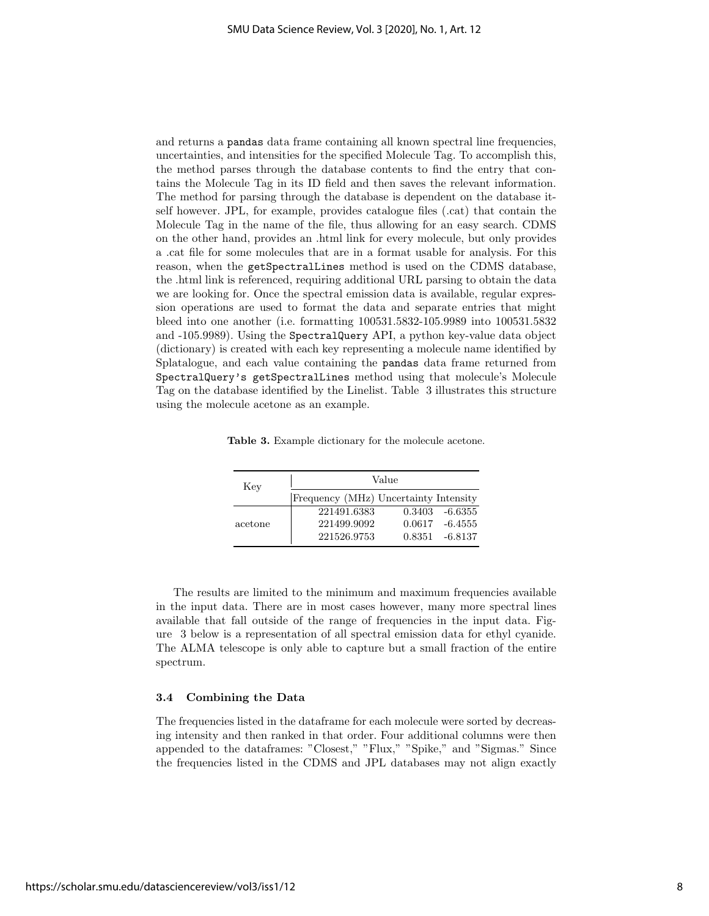and returns a pandas data frame containing all known spectral line frequencies, uncertainties, and intensities for the specified Molecule Tag. To accomplish this, the method parses through the database contents to find the entry that contains the Molecule Tag in its ID field and then saves the relevant information. The method for parsing through the database is dependent on the database itself however. JPL, for example, provides catalogue files (.cat) that contain the Molecule Tag in the name of the file, thus allowing for an easy search. CDMS on the other hand, provides an .html link for every molecule, but only provides a .cat file for some molecules that are in a format usable for analysis. For this reason, when the getSpectralLines method is used on the CDMS database, the .html link is referenced, requiring additional URL parsing to obtain the data we are looking for. Once the spectral emission data is available, regular expression operations are used to format the data and separate entries that might bleed into one another (i.e. formatting 100531.5832-105.9989 into 100531.5832 and -105.9989). Using the SpectralQuery API, a python key-value data object (dictionary) is created with each key representing a molecule name identified by Splatalogue, and each value containing the pandas data frame returned from SpectralQuery's getSpectralLines method using that molecule's Molecule Tag on the database identified by the Linelist. Table 3 illustrates this structure using the molecule acetone as an example.

| Table 3. Example dictionary for the molecule acetone. |  |
|-------------------------------------------------------|--|
|-------------------------------------------------------|--|

| Key     |                                       | Value |                   |
|---------|---------------------------------------|-------|-------------------|
|         | Frequency (MHz) Uncertainty Intensity |       |                   |
|         | 221491.6383                           |       | $0.3403 - 6.6355$ |
| acetone | 221499.9092                           |       | $0.0617 - 6.4555$ |
|         | 221526.9753                           |       | $0.8351 - 6.8137$ |

The results are limited to the minimum and maximum frequencies available in the input data. There are in most cases however, many more spectral lines available that fall outside of the range of frequencies in the input data. Figure 3 below is a representation of all spectral emission data for ethyl cyanide. The ALMA telescope is only able to capture but a small fraction of the entire spectrum.

#### 3.4 Combining the Data

The frequencies listed in the dataframe for each molecule were sorted by decreasing intensity and then ranked in that order. Four additional columns were then appended to the dataframes: "Closest," "Flux," "Spike," and "Sigmas." Since the frequencies listed in the CDMS and JPL databases may not align exactly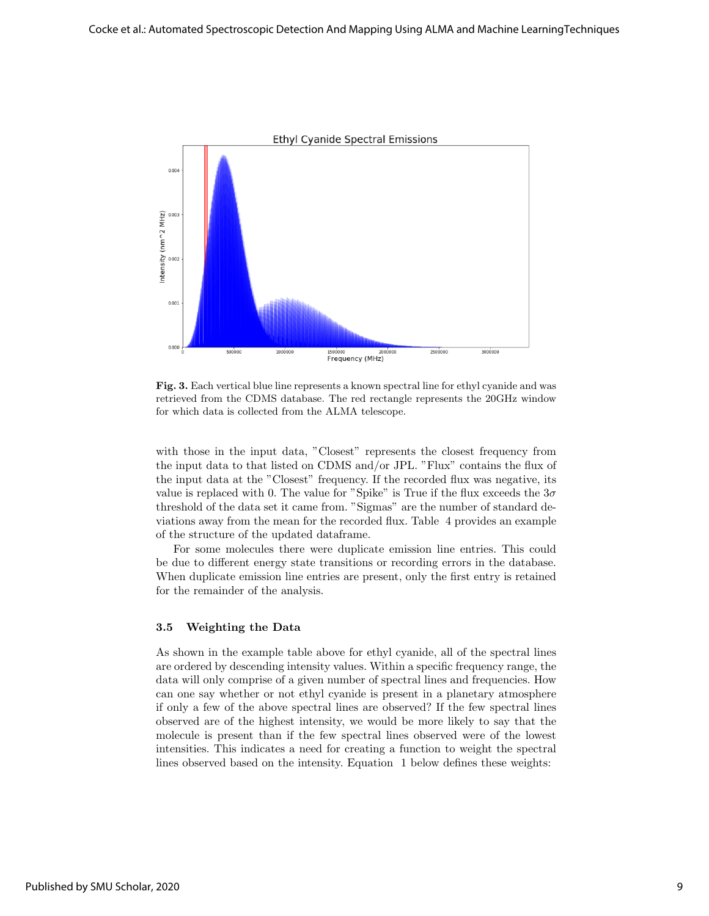

Fig. 3. Each vertical blue line represents a known spectral line for ethyl cyanide and was retrieved from the CDMS database. The red rectangle represents the 20GHz window for which data is collected from the ALMA telescope.

with those in the input data, "Closest" represents the closest frequency from the input data to that listed on CDMS and/or JPL. "Flux" contains the flux of the input data at the "Closest" frequency. If the recorded flux was negative, its value is replaced with 0. The value for "Spike" is True if the flux exceeds the  $3\sigma$ threshold of the data set it came from. "Sigmas" are the number of standard deviations away from the mean for the recorded flux. Table 4 provides an example of the structure of the updated dataframe.

For some molecules there were duplicate emission line entries. This could be due to different energy state transitions or recording errors in the database. When duplicate emission line entries are present, only the first entry is retained for the remainder of the analysis.

#### 3.5 Weighting the Data

As shown in the example table above for ethyl cyanide, all of the spectral lines are ordered by descending intensity values. Within a specific frequency range, the data will only comprise of a given number of spectral lines and frequencies. How can one say whether or not ethyl cyanide is present in a planetary atmosphere if only a few of the above spectral lines are observed? If the few spectral lines observed are of the highest intensity, we would be more likely to say that the molecule is present than if the few spectral lines observed were of the lowest intensities. This indicates a need for creating a function to weight the spectral lines observed based on the intensity. Equation 1 below defines these weights: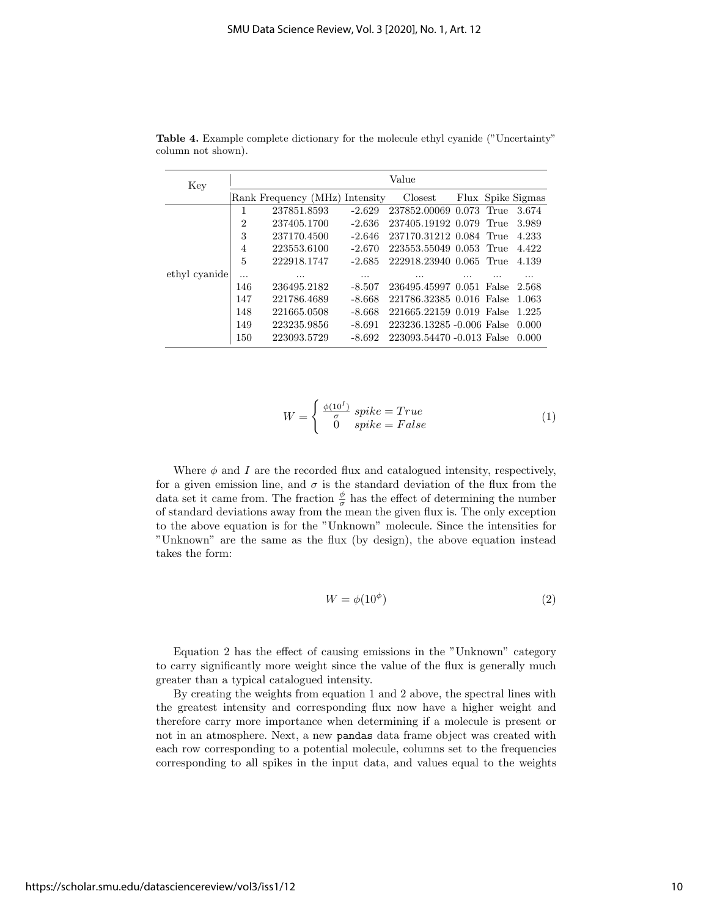| Key           | Value          |                                |          |                           |  |       |                   |
|---------------|----------------|--------------------------------|----------|---------------------------|--|-------|-------------------|
|               |                | Rank Frequency (MHz) Intensity |          | Closest                   |  |       | Flux Spike Sigmas |
|               | 1              | 237851.8593                    | $-2.629$ | 237852.00069 0.073        |  | True  | 3.674             |
|               | $\overline{2}$ | 237405.1700                    | $-2.636$ | 237405.19192 0.079        |  | True  | 3.989             |
|               | 3              | 237170.4500                    | $-2.646$ | 237170.31212 0.084 True   |  |       | 4.233             |
|               | 4              | 223553.6100                    | $-2.670$ | 223553.55049 0.053 True   |  |       | 4.422             |
|               | 5              | 222918.1747                    | $-2.685$ | 222918.23940 0.065        |  | True  | 4.139             |
| ethyl cyanide |                | .                              | .        | .                         |  |       |                   |
|               | 146            | 236495.2182                    | $-8.507$ | 236495.45997 0.051        |  | False | 2.568             |
|               | 147            | 221786.4689                    | $-8.668$ | 221786.32385 0.016 False  |  |       | 1.063             |
|               | 148            | 221665.0508                    | $-8.668$ | 221665.22159 0.019 False  |  |       | 1.225             |
|               | 149            | 223235.9856                    | $-8.691$ | 223236.13285 -0.006 False |  |       | 0.000             |
|               | 150            | 223093.5729                    | $-8.692$ | 223093.54470 -0.013 False |  |       | 0.000             |

Table 4. Example complete dictionary for the molecule ethyl cyanide ("Uncertainty" column not shown).

$$
W = \begin{cases} \frac{\phi(10^{I})}{\sigma} & \text{spike} = True\\ 0 & \text{spike} = False \end{cases}
$$
 (1)

Where  $\phi$  and I are the recorded flux and catalogued intensity, respectively, for a given emission line, and  $\sigma$  is the standard deviation of the flux from the data set it came from. The fraction  $\frac{\phi}{\sigma}$  has the effect of determining the number of standard deviations away from the mean the given flux is. The only exception to the above equation is for the "Unknown" molecule. Since the intensities for "Unknown" are the same as the flux (by design), the above equation instead takes the form:

$$
W = \phi(10^{\phi})
$$
 (2)

Equation 2 has the effect of causing emissions in the "Unknown" category to carry significantly more weight since the value of the flux is generally much greater than a typical catalogued intensity.

By creating the weights from equation 1 and 2 above, the spectral lines with the greatest intensity and corresponding flux now have a higher weight and therefore carry more importance when determining if a molecule is present or not in an atmosphere. Next, a new pandas data frame object was created with each row corresponding to a potential molecule, columns set to the frequencies corresponding to all spikes in the input data, and values equal to the weights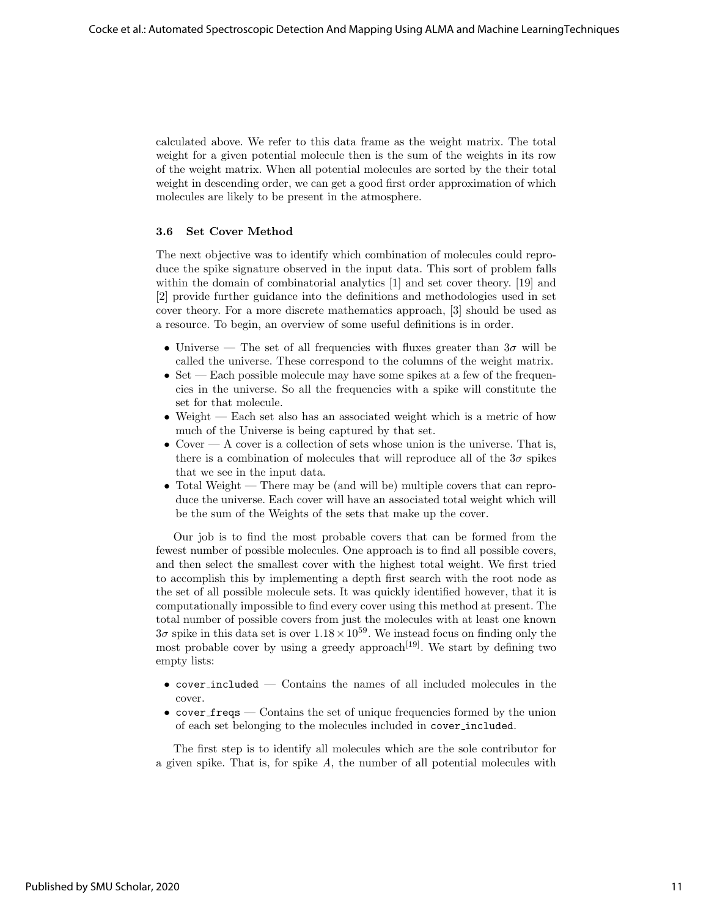calculated above. We refer to this data frame as the weight matrix. The total weight for a given potential molecule then is the sum of the weights in its row of the weight matrix. When all potential molecules are sorted by the their total weight in descending order, we can get a good first order approximation of which molecules are likely to be present in the atmosphere.

## 3.6 Set Cover Method

The next objective was to identify which combination of molecules could reproduce the spike signature observed in the input data. This sort of problem falls within the domain of combinatorial analytics [1] and set cover theory. [19] and [2] provide further guidance into the definitions and methodologies used in set cover theory. For a more discrete mathematics approach, [3] should be used as a resource. To begin, an overview of some useful definitions is in order.

- Universe The set of all frequencies with fluxes greater than  $3\sigma$  will be called the universe. These correspond to the columns of the weight matrix.
- Set Each possible molecule may have some spikes at a few of the frequencies in the universe. So all the frequencies with a spike will constitute the set for that molecule.
- Weight Each set also has an associated weight which is a metric of how much of the Universe is being captured by that set.
- Cover  $A$  cover is a collection of sets whose union is the universe. That is, there is a combination of molecules that will reproduce all of the  $3\sigma$  spikes that we see in the input data.
- Total Weight There may be (and will be) multiple covers that can reproduce the universe. Each cover will have an associated total weight which will be the sum of the Weights of the sets that make up the cover.

Our job is to find the most probable covers that can be formed from the fewest number of possible molecules. One approach is to find all possible covers, and then select the smallest cover with the highest total weight. We first tried to accomplish this by implementing a depth first search with the root node as the set of all possible molecule sets. It was quickly identified however, that it is computationally impossible to find every cover using this method at present. The total number of possible covers from just the molecules with at least one known  $3\sigma$  spike in this data set is over  $1.18 \times 10^{59}$ . We instead focus on finding only the most probable cover by using a greedy approach<sup>[19]</sup>. We start by defining two empty lists:

- cover included Contains the names of all included molecules in the cover.
- cover  ${\bf free}$  Contains the set of unique frequencies formed by the union of each set belonging to the molecules included in cover included.

The first step is to identify all molecules which are the sole contributor for a given spike. That is, for spike A, the number of all potential molecules with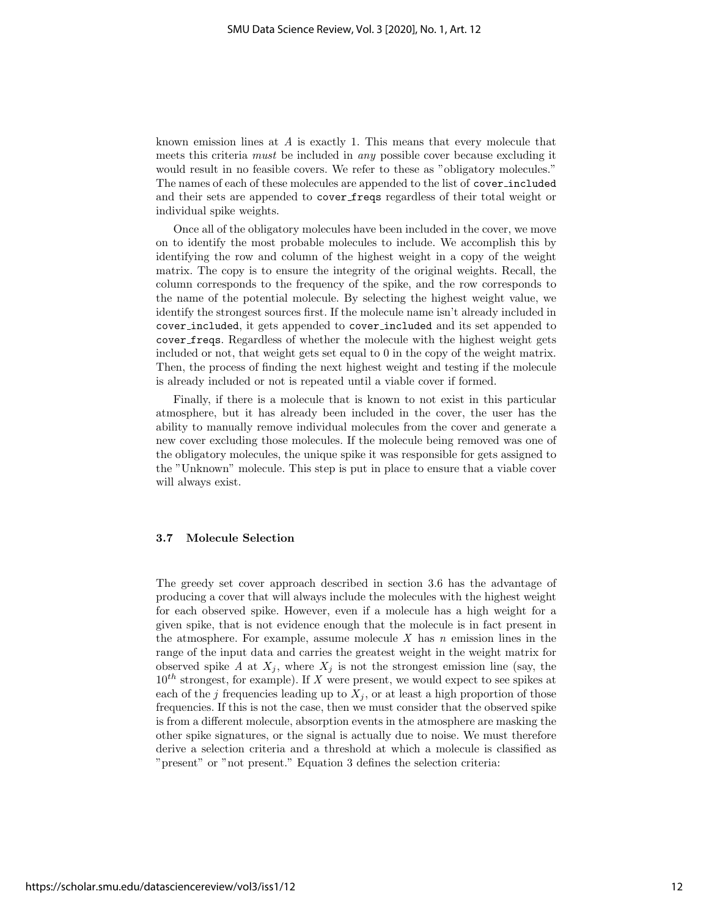known emission lines at A is exactly 1. This means that every molecule that meets this criteria must be included in any possible cover because excluding it would result in no feasible covers. We refer to these as "obligatory molecules." The names of each of these molecules are appended to the list of cover included and their sets are appended to cover freqs regardless of their total weight or individual spike weights.

Once all of the obligatory molecules have been included in the cover, we move on to identify the most probable molecules to include. We accomplish this by identifying the row and column of the highest weight in a copy of the weight matrix. The copy is to ensure the integrity of the original weights. Recall, the column corresponds to the frequency of the spike, and the row corresponds to the name of the potential molecule. By selecting the highest weight value, we identify the strongest sources first. If the molecule name isn't already included in cover included, it gets appended to cover included and its set appended to cover freqs. Regardless of whether the molecule with the highest weight gets included or not, that weight gets set equal to 0 in the copy of the weight matrix. Then, the process of finding the next highest weight and testing if the molecule is already included or not is repeated until a viable cover if formed.

Finally, if there is a molecule that is known to not exist in this particular atmosphere, but it has already been included in the cover, the user has the ability to manually remove individual molecules from the cover and generate a new cover excluding those molecules. If the molecule being removed was one of the obligatory molecules, the unique spike it was responsible for gets assigned to the "Unknown" molecule. This step is put in place to ensure that a viable cover will always exist.

#### 3.7 Molecule Selection

The greedy set cover approach described in section 3.6 has the advantage of producing a cover that will always include the molecules with the highest weight for each observed spike. However, even if a molecule has a high weight for a given spike, that is not evidence enough that the molecule is in fact present in the atmosphere. For example, assume molecule X has  $n$  emission lines in the range of the input data and carries the greatest weight in the weight matrix for observed spike A at  $X_j$ , where  $X_j$  is not the strongest emission line (say, the  $10^{th}$  strongest, for example). If X were present, we would expect to see spikes at each of the j frequencies leading up to  $X_i$ , or at least a high proportion of those frequencies. If this is not the case, then we must consider that the observed spike is from a different molecule, absorption events in the atmosphere are masking the other spike signatures, or the signal is actually due to noise. We must therefore derive a selection criteria and a threshold at which a molecule is classified as "present" or "not present." Equation 3 defines the selection criteria: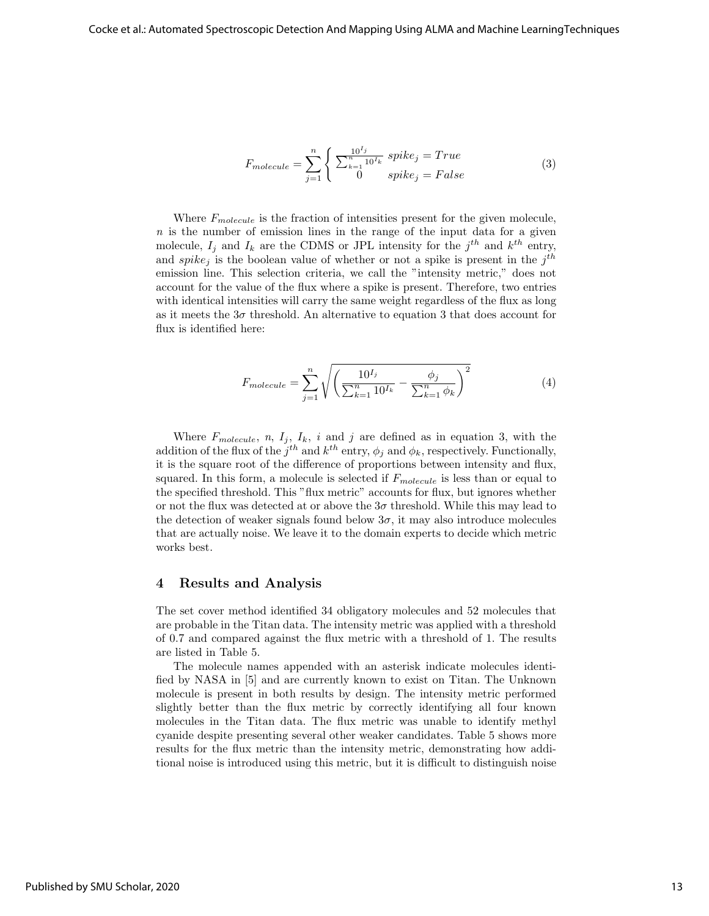$$
F_{molecule} = \sum_{j=1}^{n} \begin{cases} \sum_{k=1}^{10^{I_j}} spike_j = True\\ 0 & spike_j = False \end{cases}
$$
 (3)

Where  $F_{molecule}$  is the fraction of intensities present for the given molecule,  $n$  is the number of emission lines in the range of the input data for a given molecule,  $I_j$  and  $I_k$  are the CDMS or JPL intensity for the  $j^{th}$  and  $k^{th}$  entry, and spike<sub>j</sub> is the boolean value of whether or not a spike is present in the  $j<sup>th</sup>$ emission line. This selection criteria, we call the "intensity metric," does not account for the value of the flux where a spike is present. Therefore, two entries with identical intensities will carry the same weight regardless of the flux as long as it meets the  $3\sigma$  threshold. An alternative to equation 3 that does account for flux is identified here:

$$
F_{molecule} = \sum_{j=1}^{n} \sqrt{\left(\frac{10^{I_j}}{\sum_{k=1}^{n} 10^{I_k}} - \frac{\phi_j}{\sum_{k=1}^{n} \phi_k}\right)^2}
$$
(4)

Where  $F_{molecule}$ , n,  $I_j$ ,  $I_k$ , i and j are defined as in equation 3, with the addition of the flux of the  $j^{th}$  and  $k^{th}$  entry,  $\phi_j$  and  $\phi_k$ , respectively. Functionally, it is the square root of the difference of proportions between intensity and flux, squared. In this form, a molecule is selected if  $F_{molecule}$  is less than or equal to the specified threshold. This "flux metric" accounts for flux, but ignores whether or not the flux was detected at or above the  $3\sigma$  threshold. While this may lead to the detection of weaker signals found below  $3\sigma$ , it may also introduce molecules that are actually noise. We leave it to the domain experts to decide which metric works best.

#### 4 Results and Analysis

The set cover method identified 34 obligatory molecules and 52 molecules that are probable in the Titan data. The intensity metric was applied with a threshold of 0.7 and compared against the flux metric with a threshold of 1. The results are listed in Table 5.

The molecule names appended with an asterisk indicate molecules identified by NASA in [5] and are currently known to exist on Titan. The Unknown molecule is present in both results by design. The intensity metric performed slightly better than the flux metric by correctly identifying all four known molecules in the Titan data. The flux metric was unable to identify methyl cyanide despite presenting several other weaker candidates. Table 5 shows more results for the flux metric than the intensity metric, demonstrating how additional noise is introduced using this metric, but it is difficult to distinguish noise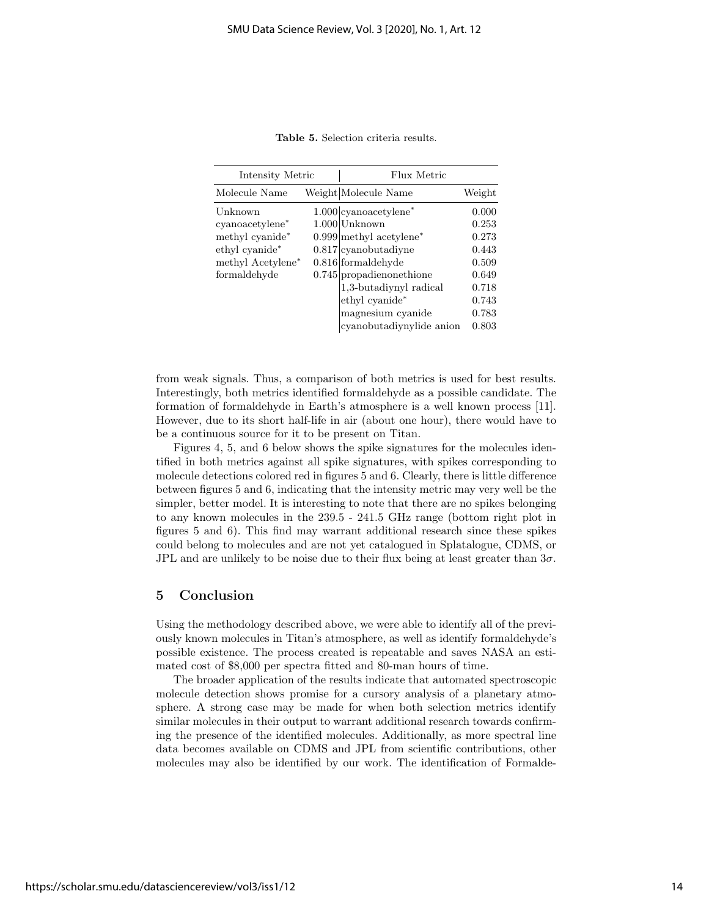| Intensity Metric  |  | Flux Metric                           |        |  |
|-------------------|--|---------------------------------------|--------|--|
| Molecule Name     |  | Weight Molecule Name                  | Weight |  |
| Unknown           |  | $1.000$  cyanoacetylene <sup>*</sup>  | 0.000  |  |
| cyanoacetylene*   |  | $1.000$ Unknown                       | 0.253  |  |
| methyl cyanide*   |  | $0.999$ methyl acetylene <sup>*</sup> | 0.273  |  |
| ethyl cyanide*    |  | $0.817$ cyanobutadiyne                | 0.443  |  |
| methyl Acetylene* |  | $0.816$ formal dehyde                 | 0.509  |  |
| formaldehyde      |  | $0.745$  propadienonethione           | 0.649  |  |
|                   |  | 1,3-butadiynyl radical                | 0.718  |  |
|                   |  | ethyl cyanide*                        | 0.743  |  |
|                   |  | magnesium cyanide                     | 0.783  |  |
|                   |  | cyanobutadiynylide anion              | 0.803  |  |

Table 5. Selection criteria results.

from weak signals. Thus, a comparison of both metrics is used for best results. Interestingly, both metrics identified formaldehyde as a possible candidate. The formation of formaldehyde in Earth's atmosphere is a well known process [11]. However, due to its short half-life in air (about one hour), there would have to be a continuous source for it to be present on Titan.

Figures 4, 5, and 6 below shows the spike signatures for the molecules identified in both metrics against all spike signatures, with spikes corresponding to molecule detections colored red in figures 5 and 6. Clearly, there is little difference between figures 5 and 6, indicating that the intensity metric may very well be the simpler, better model. It is interesting to note that there are no spikes belonging to any known molecules in the 239.5 - 241.5 GHz range (bottom right plot in figures 5 and 6). This find may warrant additional research since these spikes could belong to molecules and are not yet catalogued in Splatalogue, CDMS, or JPL and are unlikely to be noise due to their flux being at least greater than  $3\sigma$ .

## 5 Conclusion

Using the methodology described above, we were able to identify all of the previously known molecules in Titan's atmosphere, as well as identify formaldehyde's possible existence. The process created is repeatable and saves NASA an estimated cost of \$8,000 per spectra fitted and 80-man hours of time.

The broader application of the results indicate that automated spectroscopic molecule detection shows promise for a cursory analysis of a planetary atmosphere. A strong case may be made for when both selection metrics identify similar molecules in their output to warrant additional research towards confirming the presence of the identified molecules. Additionally, as more spectral line data becomes available on CDMS and JPL from scientific contributions, other molecules may also be identified by our work. The identification of Formalde-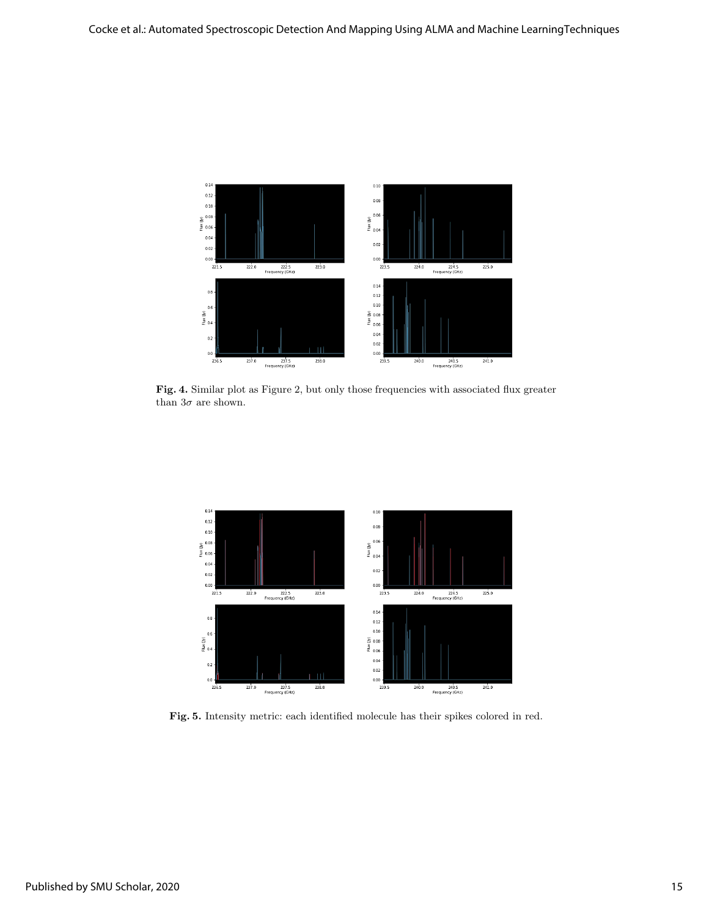

Fig. 4. Similar plot as Figure 2, but only those frequencies with associated flux greater than  $3\sigma$  are shown.



Fig. 5. Intensity metric: each identified molecule has their spikes colored in red.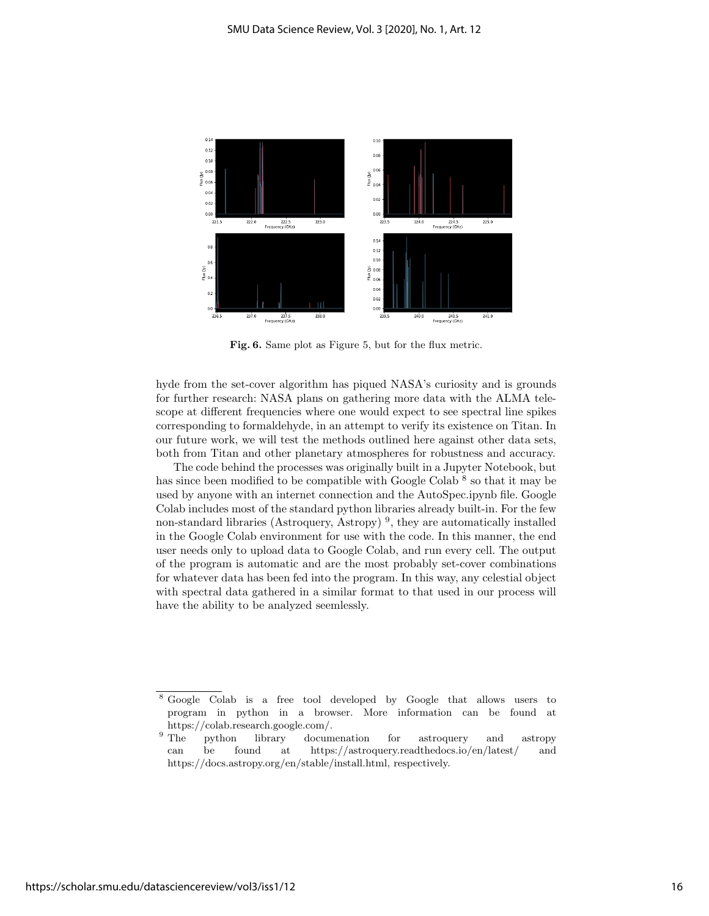

Fig. 6. Same plot as Figure 5, but for the flux metric.

hyde from the set-cover algorithm has piqued NASA's curiosity and is grounds for further research: NASA plans on gathering more data with the ALMA telescope at different frequencies where one would expect to see spectral line spikes corresponding to formaldehyde, in an attempt to verify its existence on Titan. In our future work, we will test the methods outlined here against other data sets, both from Titan and other planetary atmospheres for robustness and accuracy.

The code behind the processes was originally built in a Jupyter Notebook, but has since been modified to be compatible with Google Colab  $8$  so that it may be used by anyone with an internet connection and the AutoSpec.ipynb file. Google Colab includes most of the standard python libraries already built-in. For the few non-standard libraries (Astroquery, Astropy)<sup>9</sup>, they are automatically installed in the Google Colab environment for use with the code. In this manner, the end user needs only to upload data to Google Colab, and run every cell. The output of the program is automatic and are the most probably set-cover combinations for whatever data has been fed into the program. In this way, any celestial object with spectral data gathered in a similar format to that used in our process will have the ability to be analyzed seemlessly.

<sup>8</sup> Google Colab is a free tool developed by Google that allows users to program in python in a browser. More information can be found at https://colab.research.google.com/.<br><sup>9</sup> The python library docum

python library documenation for astroquery and astropy can be found at https://astroquery.readthedocs.io/en/latest/ and https://docs.astropy.org/en/stable/install.html, respectively.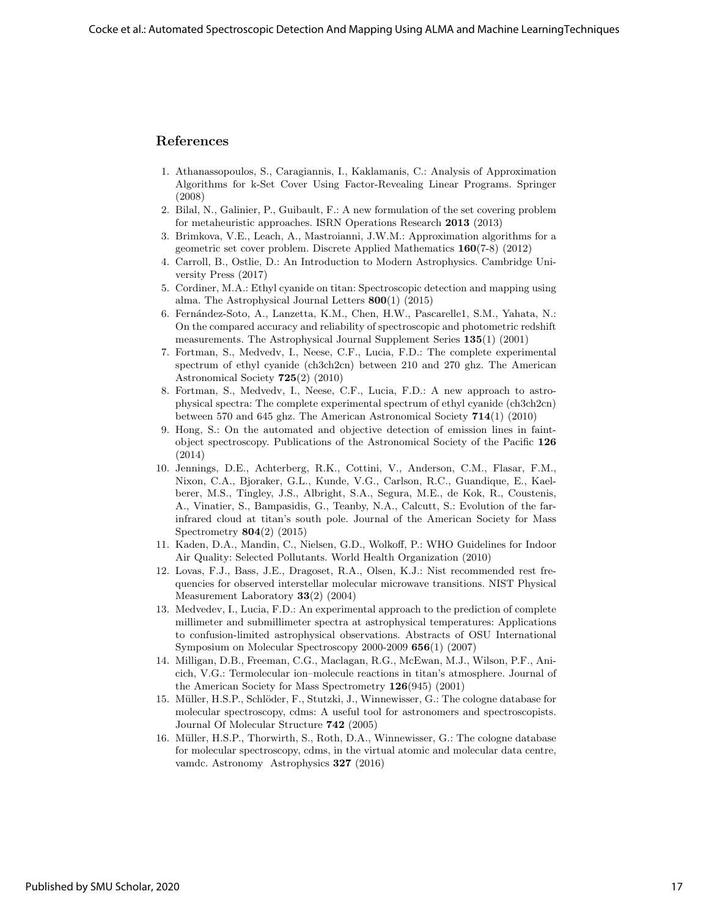## References

- 1. Athanassopoulos, S., Caragiannis, I., Kaklamanis, C.: Analysis of Approximation Algorithms for k-Set Cover Using Factor-Revealing Linear Programs. Springer (2008)
- 2. Bilal, N., Galinier, P., Guibault, F.: A new formulation of the set covering problem for metaheuristic approaches. ISRN Operations Research 2013 (2013)
- 3. Brimkova, V.E., Leach, A., Mastroianni, J.W.M.: Approximation algorithms for a geometric set cover problem. Discrete Applied Mathematics 160(7-8) (2012)
- 4. Carroll, B., Ostlie, D.: An Introduction to Modern Astrophysics. Cambridge University Press (2017)
- 5. Cordiner, M.A.: Ethyl cyanide on titan: Spectroscopic detection and mapping using alma. The Astrophysical Journal Letters 800(1) (2015)
- 6. Fern´andez-Soto, A., Lanzetta, K.M., Chen, H.W., Pascarelle1, S.M., Yahata, N.: On the compared accuracy and reliability of spectroscopic and photometric redshift measurements. The Astrophysical Journal Supplement Series 135(1) (2001)
- 7. Fortman, S., Medvedv, I., Neese, C.F., Lucia, F.D.: The complete experimental spectrum of ethyl cyanide (ch3ch2cn) between 210 and 270 ghz. The American Astronomical Society 725(2) (2010)
- 8. Fortman, S., Medvedv, I., Neese, C.F., Lucia, F.D.: A new approach to astrophysical spectra: The complete experimental spectrum of ethyl cyanide (ch3ch2cn) between 570 and 645 ghz. The American Astronomical Society 714(1) (2010)
- 9. Hong, S.: On the automated and objective detection of emission lines in faintobject spectroscopy. Publications of the Astronomical Society of the Pacific 126 (2014)
- 10. Jennings, D.E., Achterberg, R.K., Cottini, V., Anderson, C.M., Flasar, F.M., Nixon, C.A., Bjoraker, G.L., Kunde, V.G., Carlson, R.C., Guandique, E., Kaelberer, M.S., Tingley, J.S., Albright, S.A., Segura, M.E., de Kok, R., Coustenis, A., Vinatier, S., Bampasidis, G., Teanby, N.A., Calcutt, S.: Evolution of the farinfrared cloud at titan's south pole. Journal of the American Society for Mass Spectrometry 804(2) (2015)
- 11. Kaden, D.A., Mandin, C., Nielsen, G.D., Wolkoff, P.: WHO Guidelines for Indoor Air Quality: Selected Pollutants. World Health Organization (2010)
- 12. Lovas, F.J., Bass, J.E., Dragoset, R.A., Olsen, K.J.: Nist recommended rest frequencies for observed interstellar molecular microwave transitions. NIST Physical Measurement Laboratory 33(2) (2004)
- 13. Medvedev, I., Lucia, F.D.: An experimental approach to the prediction of complete millimeter and submillimeter spectra at astrophysical temperatures: Applications to confusion-limited astrophysical observations. Abstracts of OSU International Symposium on Molecular Spectroscopy 2000-2009 656(1) (2007)
- 14. Milligan, D.B., Freeman, C.G., Maclagan, R.G., McEwan, M.J., Wilson, P.F., Anicich, V.G.: Termolecular ion–molecule reactions in titan's atmosphere. Journal of the American Society for Mass Spectrometry 126(945) (2001)
- 15. Müller, H.S.P., Schlöder, F., Stutzki, J., Winnewisser, G.: The cologne database for molecular spectroscopy, cdms: A useful tool for astronomers and spectroscopists. Journal Of Molecular Structure 742 (2005)
- 16. Müller, H.S.P., Thorwirth, S., Roth, D.A., Winnewisser, G.: The cologne database for molecular spectroscopy, cdms, in the virtual atomic and molecular data centre, vamdc. Astronomy Astrophysics 327 (2016)